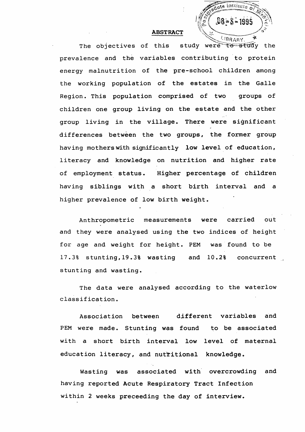

**group living in the village. There were significant differences between the two groups, the former group having mothers with significantly low level of education, literacy and knowledge on nutrition and higher rate of employment status. Higher percentage of children having siblings with a short birth interval and a higher prevalence of low birth weight.**

**Anthropometric measurements were carried out and they were analysed using the two indices of height for age and weight for height. PEM was found to be 17.3% stunting,19.3% wasting and 10.2% concurrent stunting and wasting.**

**The data were analysed according to the waterlow classification.**

**Association between different variables and PEM were made. Stunting was found to be associated with a short birth interval low level of maternal**

## **education literacy, and nutritional knowledge. Wasting was associated with overcrowding and having reported Acute Respiratory Tract Infection within 2 weeks preceeding the day of interview.**